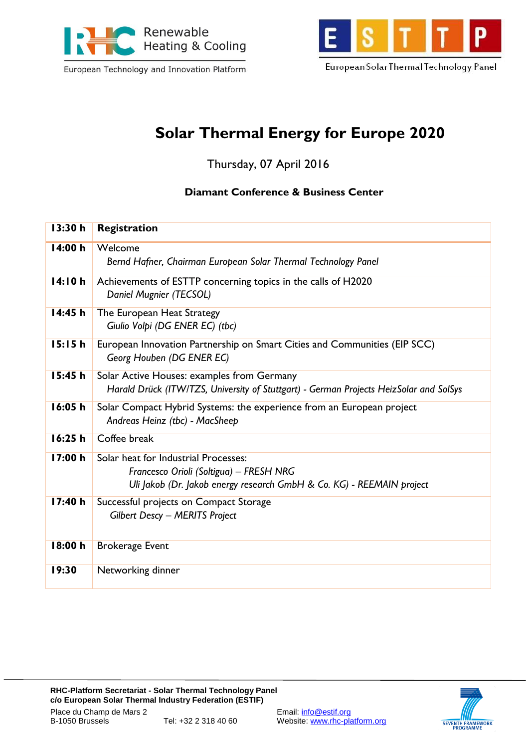

European Technology and Innovation Platform



European Solar Thermal Technology Panel

## **Solar Thermal Energy for Europe 2020**

Thursday, 07 April 2016

### **Diamant Conference & Business Center**

| 13:30 h | Registration                                                                                                                                             |
|---------|----------------------------------------------------------------------------------------------------------------------------------------------------------|
| 14:00 h | Welcome<br>Bernd Hafner, Chairman European Solar Thermal Technology Panel                                                                                |
| 14:10h  | Achievements of ESTTP concerning topics in the calls of H2020<br>Daniel Mugnier (TECSOL)                                                                 |
| 14:45h  | The European Heat Strategy<br>Giulio Volpi (DG ENER EC) (tbc)                                                                                            |
| 15:15h  | European Innovation Partnership on Smart Cities and Communities (EIP SCC)<br>Georg Houben (DG ENER EC)                                                   |
| 15:45h  | Solar Active Houses: examples from Germany<br>Harald Drück (ITW/TZS, University of Stuttgart) - German Projects HeizSolar and SolSys                     |
| 16:05h  | Solar Compact Hybrid Systems: the experience from an European project<br>Andreas Heinz (tbc) - MacSheep                                                  |
| 16:25h  | Coffee break                                                                                                                                             |
| 17:00h  | Solar heat for Industrial Processes:<br>Francesco Orioli (Soltigua) - FRESH NRG<br>Uli Jakob (Dr. Jakob energy research GmbH & Co. KG) - REEMAIN project |
| 17:40 h | Successful projects on Compact Storage<br><b>Gilbert Descy - MERITS Project</b>                                                                          |
| 18:00 h | <b>Brokerage Event</b>                                                                                                                                   |
| 19:30   | Networking dinner                                                                                                                                        |